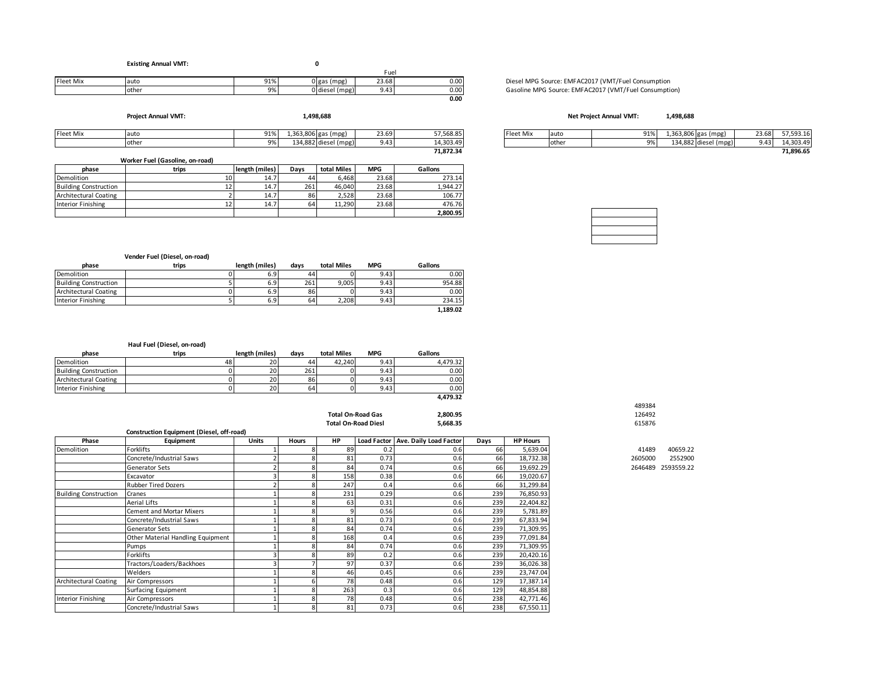#### **Existing Annual VMT:** Fuel **0**

|                  |       |                    |                                          | -uei         |      |
|------------------|-------|--------------------|------------------------------------------|--------------|------|
| <b>Fleet Mix</b> | auto  | Q1%<br><b>J170</b> | عجما ا<br>(mpg                           | 220<br>23.08 | 0.00 |
|                  | other | 9%                 | n l di<br>l m na<br>امعمنك<br>.<br>. כזי | --           | 0.00 |
|                  |       |                    |                                          |              | 0.00 |

**Project Annual VMT: 1,498,688**

| Fleet Mix | Tauto                           | 91%            | 1,363,806 gas' | (mpg)                | 23.69 | 57,568.85 | Fleet Mix | -lauto | 91% | 1,363,806 gas ( | (mpg)                | 23.68 | 57.593.16 |
|-----------|---------------------------------|----------------|----------------|----------------------|-------|-----------|-----------|--------|-----|-----------------|----------------------|-------|-----------|
|           | <b>othe</b>                     | Q <sub>0</sub> |                | 134,882 diesel (mpg) | 9.43  | 14,303.49 |           | othe   | 9%  |                 | 134,882 diesel (mpg) | 9.43  | 4.303.49  |
|           |                                 |                |                |                      |       | 71.872.34 |           |        |     |                 |                      |       | 71,896.65 |
|           | Worker Fuel (Gasoline, on-road) |                |                |                      |       |           |           |        |     |                 |                      |       |           |

|                              | WORCE FUEL (Gasoline, On-Toag) |                |      |             |            |          |
|------------------------------|--------------------------------|----------------|------|-------------|------------|----------|
| phase                        | trips                          | length (miles) | Davs | total Miles | <b>MPG</b> | Gallons  |
| Demolition                   | 101                            | 14.7           | 44   | 6.468       | 23.68      | 273.14   |
| <b>Building Construction</b> | 12'                            | 14.7           | 261  | 46.040      | 23.68      | 1.944.27 |
| <b>Architectural Coating</b> |                                | 14.7           | 86   | 2.528       | 23.68      | 106.77   |
| Interior Finishing           | 12 <sup>1</sup>                | 14.7           | 64   | 11.290      | 23.68      | 476.76   |
|                              |                                |                |      |             |            | 2.800.95 |

Diesel MPG Source: EMFAC2017 (VMT/Fuel Consumption Gasoline MPG Source: EMFAC2017 (VMT/Fuel Consumption)

#### **1,498,688 Net Project Annual VMT:**

| 57.568.85 | <b>Fleet Mix</b> | auto   | 91% | $1,363,806$ gas $/$ | (mpg) | 23.68 | $- -$<br>4.593.16 |
|-----------|------------------|--------|-----|---------------------|-------|-------|-------------------|
| 14.303.49 |                  | rother | 9%  | 134.882 diesel      | (mpg) | 9.43  | 4.303.49          |
| 71.872.34 |                  |        |     |                     |       |       | 1.896.65          |

|                              | Vender Fuel (Diesel, on-road) |                  |      |             |            |          |
|------------------------------|-------------------------------|------------------|------|-------------|------------|----------|
| phase                        | trips                         | length (miles)   | davs | total Miles | <b>MPG</b> | Gallons  |
| Demolition                   |                               | 6.9              | 44   |             | 9.43       | 0.00     |
| <b>Building Construction</b> |                               | 6.9              | 261  | 9.005       | 9.43       | 954.88   |
| Architectural Coating        |                               | 6.9              | 86   |             | 9.43       | 0.00     |
| Interior Finishing           |                               | 6.9 <sup>1</sup> | 64   | 2,208       | 9.43       | 234.15   |
|                              |                               |                  |      |             |            | 1,189.02 |

|                              | Haul Fuel (Diesel, on-road) |                |      |             |            |          |
|------------------------------|-----------------------------|----------------|------|-------------|------------|----------|
| phase                        | trips                       | length (miles) | davs | total Miles | <b>MPG</b> | Gallons  |
| <b>Demolition</b>            | 48                          | 20             | 44   | 42.240      | 9.43       | 4.479.32 |
| <b>Building Construction</b> |                             | 20             | 261  |             | 9.43       | 0.00     |
| Architectural Coating        |                             | 20             | 86   |             | 9.43       | 0.00     |
| <b>Interior Finishing</b>    |                             | 20             | 64   |             | 9.43       | 0.00     |

|                         |                            | 4.479.32 |        |
|-------------------------|----------------------------|----------|--------|
|                         |                            |          | 489384 |
|                         | <b>Total On-Road Gas</b>   | 2.800.95 | 126492 |
|                         | <b>Total On-Road Diesl</b> | 5.668.35 | 615876 |
| nent (Diesel. off-road) |                            |          |        |

|                              | <b>Construction Equipment (Diesel, off-road)</b> |              |              |     |      |                                      |      |                 |         |                    |
|------------------------------|--------------------------------------------------|--------------|--------------|-----|------|--------------------------------------|------|-----------------|---------|--------------------|
| Phase                        | Equipment                                        | <b>Units</b> | <b>Hours</b> | HP  |      | Load Factor   Ave. Daily Load Factor | Days | <b>HP Hours</b> |         |                    |
| Demolition                   | Forklifts                                        |              |              | 89  | 0.2  | 0.6                                  | 66   | 5,639.04        | 41489   | 40659.22           |
|                              | Concrete/Industrial Saws                         |              |              | 81  | 0.73 | 0.6                                  | 66   | 18,732.38       | 2605000 | 2552900            |
|                              | <b>Generator Sets</b>                            |              |              | 84  | 0.74 | 0.6                                  | 66   | 19,692.29       |         | 2646489 2593559.22 |
|                              | Excavator                                        |              | 8            | 158 | 0.38 | 0.6                                  | 66   | 19,020.67       |         |                    |
|                              | <b>Rubber Tired Dozers</b>                       |              |              | 247 | 0.4  | 0.6                                  | 66   | 31,299.84       |         |                    |
| <b>Building Construction</b> | Cranes                                           |              |              | 231 | 0.29 | 0.6                                  | 239  | 76,850.93       |         |                    |
|                              | <b>Aerial Lifts</b>                              |              |              | 63  | 0.31 | 0.6                                  | 239  | 22,404.82       |         |                    |
|                              | Cement and Mortar Mixers                         |              | 8            |     | 0.56 | 0.6                                  | 239  | 5,781.89        |         |                    |
|                              | Concrete/Industrial Saws                         |              |              | 81  | 0.73 | 0.6                                  | 239  | 67,833.94       |         |                    |
|                              | <b>Generator Sets</b>                            |              |              | 84  | 0.74 | 0.6                                  | 239  | 71,309.95       |         |                    |
|                              | Other Material Handling Equipment                |              |              | 168 | 0.4  | 0.6                                  | 239  | 77,091.84       |         |                    |
|                              | Pumps                                            |              |              | 84  | 0.74 | 0.6                                  | 239  | 71,309.95       |         |                    |
|                              | Forklifts                                        |              |              | 89  | 0.2  | 0.6                                  | 239  | 20,420.16       |         |                    |
|                              | Tractors/Loaders/Backhoes                        |              |              | 97  | 0.37 | 0.6                                  | 239  | 36,026.38       |         |                    |
|                              | Welders                                          |              |              | 46  | 0.45 | 0.6                                  | 239  | 23,747.04       |         |                    |
| Architectural Coating        | Air Compressors                                  |              |              | 78  | 0.48 | 0.6                                  | 129  | 17,387.14       |         |                    |
|                              | <b>Surfacing Equipment</b>                       |              |              | 263 | 0.3  | 0.6                                  | 129  | 48,854.88       |         |                    |
| <b>Interior Finishing</b>    | Air Compressors                                  |              | 8            | 78  | 0.48 | 0.6                                  | 238  | 42,771.46       |         |                    |
|                              | Concrete/Industrial Saws                         |              | 8            | 81  | 0.73 | 0.6                                  | 238  | 67,550.11       |         |                    |

| 489384 |  |
|--------|--|
| 126492 |  |
| 615876 |  |

| 41489   | 40659.22           |
|---------|--------------------|
| 2605000 | 2552900            |
|         | 2646489 2593559.22 |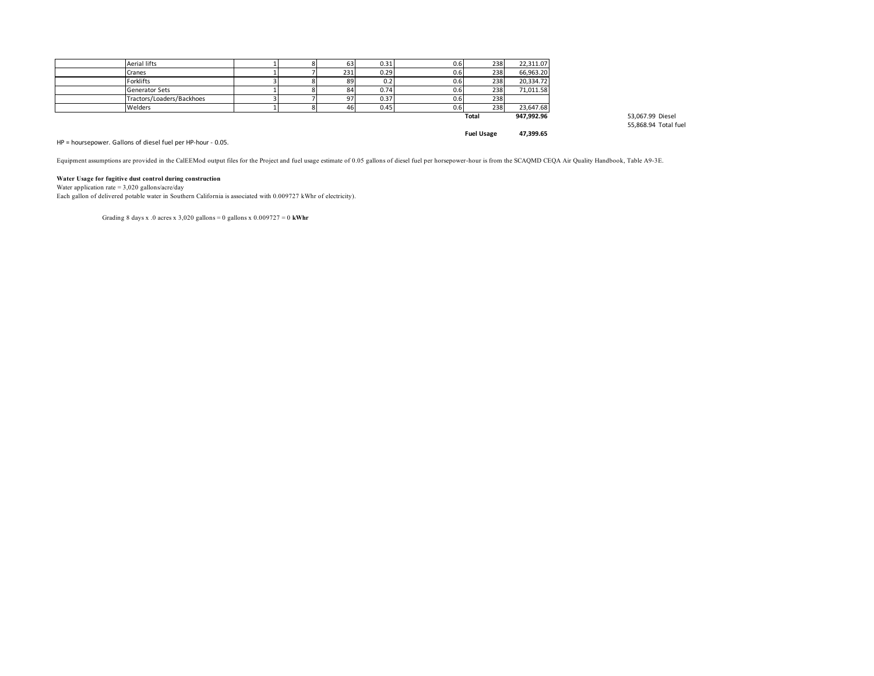| <b>Aerial lifts</b>       |  | 63  | 0.31 | 0.61 | 238   | 22,311.07  |
|---------------------------|--|-----|------|------|-------|------------|
| Cranes                    |  | 231 | 0.29 | 0.61 | 238   | 66,963.20  |
| <b>Forklifts</b>          |  | 89  | 0.2  | 0.6  | 238   | 20,334.72  |
| <b>Generator Sets</b>     |  | 84  | 0.74 | 0.61 | 238   | 71,011.58  |
| Tractors/Loaders/Backhoes |  | 97  | 0.37 | 0.6  | 238   |            |
| Welders                   |  | 46  | 0.45 | 0.6  | 238   | 23,647.68  |
|                           |  |     |      |      | Total | 947.992.96 |

**Total 947,992.96** 53,067.99 Diesel 55,868.94 Total fuel

#### HP = hoursepower. Gallons of diesel fuel per HP-hour - 0.05.

Equipment assumptions are provided in the CalEEMod output files for the Project and fuel usage estimate of 0.05 gallons of diesel fuel per horsepower-hour is from the SCAQMD CEQA Air Quality Handbook, Table A9-3E.

**Fuel Usage 47,399.65**

#### **Water Usage for fugitive dust control during construction**

Water application rate =  $3,020$  gallons/acre/day

Each gallon of delivered potable water in Southern California is associated with 0.009727 kWhr of electricity).

Grading 8 days x .0 acres x 3,020 gallons = 0 gallons x 0.009727 = 0 **kWhr**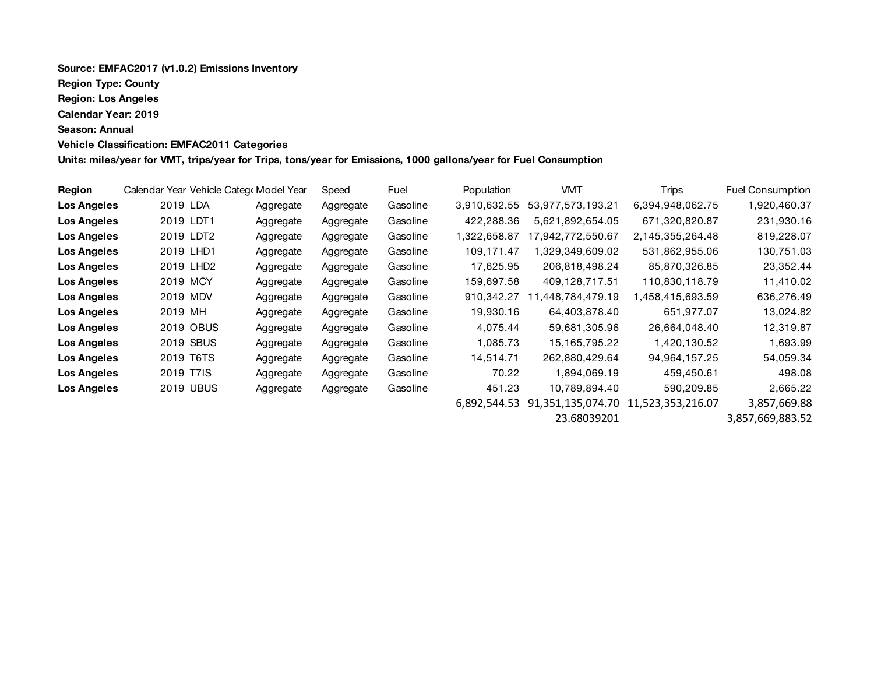# **Source: EMFAC2017 (v1.0.2) Emissions Inventory Region Type: County Region: Los Angeles Calendar Year: 2019 Season: Annual Vehicle Classification: EMFAC2011 Categories**

**Units: miles/year for VMT, trips/year for Trips, tons/year for Emissions, 1000 gallons/year for Fuel Consumption**

| Region             |                       | Calendar Year Vehicle Categr Model Year |           | Speed     | Fuel     | Population   | VMT               | <b>Trips</b>      | <b>Fuel Consumption</b> |
|--------------------|-----------------------|-----------------------------------------|-----------|-----------|----------|--------------|-------------------|-------------------|-------------------------|
| <b>Los Angeles</b> | 2019 LDA              |                                         | Aggregate | Aggregate | Gasoline | 3,910,632.55 | 53,977,573,193.21 | 6,394,948,062.75  | 1,920,460.37            |
| <b>Los Angeles</b> | 2019 LDT1             |                                         | Aggregate | Aggregate | Gasoline | 422.288.36   | 5,621,892,654.05  | 671,320,820.87    | 231,930.16              |
| <b>Los Angeles</b> | 2019 LDT2             |                                         | Aggregate | Aggregate | Gasoline | 1,322,658.87 | 17,942,772,550.67 | 2,145,355,264.48  | 819,228.07              |
| <b>Los Angeles</b> | 2019 LHD1             |                                         | Aggregate | Aggregate | Gasoline | 109.171.47   | .329.349.609.02   | 531,862,955.06    | 130,751.03              |
| <b>Los Angeles</b> | 2019 LHD <sub>2</sub> |                                         | Aggregate | Aggregate | Gasoline | 17,625.95    | 206,818,498.24    | 85,870,326.85     | 23,352.44               |
| <b>Los Angeles</b> | 2019 MCY              |                                         | Aggregate | Aggregate | Gasoline | 159,697.58   | 409,128,717.51    | 110,830,118.79    | 11,410.02               |
| <b>Los Angeles</b> | 2019 MDV              |                                         | Aggregate | Aggregate | Gasoline | 910,342.27   | .448.784.479.19   | ,458,415,693.59   | 636,276.49              |
| Los Angeles        | 2019 MH               |                                         | Aggregate | Aggregate | Gasoline | 19,930.16    | 64,403,878.40     | 651,977.07        | 13,024.82               |
| <b>Los Angeles</b> |                       | 2019 OBUS                               | Aggregate | Aggregate | Gasoline | 4,075.44     | 59,681,305.96     | 26,664,048.40     | 12,319.87               |
| <b>Los Angeles</b> |                       | 2019 SBUS                               | Aggregate | Aggregate | Gasoline | 1,085.73     | 15, 165, 795. 22  | 1.420.130.52      | 1,693.99                |
| <b>Los Angeles</b> | 2019 T6TS             |                                         | Aggregate | Aggregate | Gasoline | 14,514.71    | 262,880,429.64    | 94,964,157.25     | 54,059.34               |
| <b>Los Angeles</b> | 2019 T7IS             |                                         | Aggregate | Aggregate | Gasoline | 70.22        | 1,894,069.19      | 459,450.61        | 498.08                  |
| <b>Los Angeles</b> |                       | <b>2019 UBUS</b>                        | Aggregate | Aggregate | Gasoline | 451.23       | 10,789,894.40     | 590.209.85        | 2,665.22                |
|                    |                       |                                         |           |           |          | 6.892.544.53 | 91,351,135,074.70 | 11,523,353,216.07 | 3,857,669.88            |

23.68039201 3,857,669,883.52